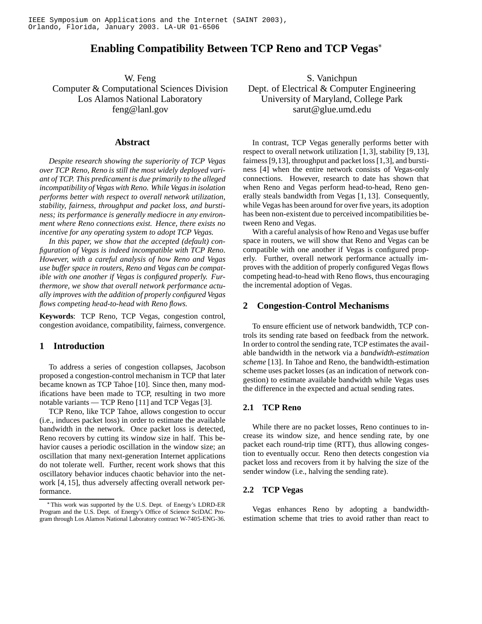# **Enabling Compatibility Between TCP Reno and TCP Vegas**

W. Feng Computer & Computational Sciences Division Los Alamos National Laboratory feng@lanl.gov

### **Abstract**

*Despite research showing the superiority of TCP Vegas over TCP Reno, Reno is still the most widely deployed variant of TCP. This predicament is due primarily to the alleged incompatibility of Vegas with Reno. While Vegas in isolation performs better with respect to overall network utilization, stability, fairness, throughput and packet loss, and burstiness; its performance is generally mediocre in any environment where Reno connections exist. Hence, there exists no incentive for any operating system to adopt TCP Vegas.*

*In this paper, we show that the accepted (default) configuration of Vegas is indeed incompatible with TCP Reno. However, with a careful analysis of how Reno and Vegas use buffer space in routers, Reno and Vegas can be compatible with one another if Vegas is configured properly. Furthermore, we show that overall network performance actually improves with the addition of properly configured Vegas flows competing head-to-head with Reno flows.*

**Keywords**: TCP Reno, TCP Vegas, congestion control, congestion avoidance, compatibility, fairness, convergence.

# **1 Introduction**

To address a series of congestion collapses, Jacobson proposed a congestion-control mechanism in TCP that later became known as TCP Tahoe [10]. Since then, many modifications have been made to TCP, resulting in two more notable variants — TCP Reno [11] and TCP Vegas [3].

TCP Reno, like TCP Tahoe, allows congestion to occur (i.e., induces packet loss) in order to estimate the available bandwidth in the network. Once packet loss is detected, Reno recovers by cutting its window size in half. This behavior causes a periodic oscillation in the window size; an oscillation that many next-generation Internet applications do not tolerate well. Further, recent work shows that this oscillatory behavior induces chaotic behavior into the network [4, 15], thus adversely affecting overall network performance.

S. Vanichpun Dept. of Electrical & Computer Engineering University of Maryland, College Park sarut@glue.umd.edu

In contrast, TCP Vegas generally performs better with respect to overall network utilization [1,3], stability [9,13], fairness [9,13], throughput and packet loss [1,3], and burstiness [4] when the entire network consists of Vegas-only connections. However, research to date has shown that when Reno and Vegas perform head-to-head, Reno generally steals bandwidth from Vegas [1, 13]. Consequently, while Vegas has been around for over five years, its adoption has been non-existent due to perceived incompatibilities between Reno and Vegas.

With a careful analysis of how Reno and Vegas use buffer space in routers, we will show that Reno and Vegas can be compatible with one another if Vegas is configured properly. Further, overall network performance actually improves with the addition of properly configured Vegas flows competing head-to-head with Reno flows, thus encouraging the incremental adoption of Vegas.

# **2 Congestion-Control Mechanisms**

To ensure efficient use of network bandwidth, TCP controls its sending rate based on feedback from the network. In order to control the sending rate, TCP estimates the available bandwidth in the network via a *bandwidth-estimation scheme* [13]. In Tahoe and Reno, the bandwidth-estimation scheme uses packet losses (as an indication of network congestion) to estimate available bandwidth while Vegas uses the difference in the expected and actual sending rates.

### **2.1 TCP Reno**

While there are no packet losses, Reno continues to increase its window size, and hence sending rate, by one packet each round-trip time (RTT), thus allowing congestion to eventually occur. Reno then detects congestion via packet loss and recovers from it by halving the size of the sender window (i.e., halving the sending rate).

# **2.2 TCP Vegas**

Vegas enhances Reno by adopting a bandwidthestimation scheme that tries to avoid rather than react to

This work was supported by the U.S. Dept. of Energy's LDRD-ER Program and the U.S. Dept. of Energy's Office of Science SciDAC Program through Los Alamos National Laboratory contract W-7405-ENG-36.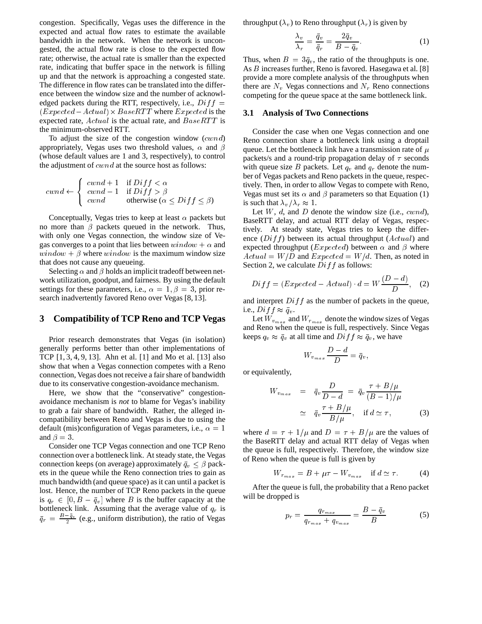congestion. Specifically, Vegas uses the difference in the expected and actual flow rates to estimate the available bandwidth in the network. When the network is uncongested, the actual flow rate is close to the expected flow rate; otherwise, the actual rate is smaller than the expected rate, indicating that buffer space in the network is filling up and that the network is approaching a congested state. The difference in flow rates can be translated into the difference between the window size and the number of acknowledged packets during the RTT, respectively, i.e.,  $Diff =$  $(Expected - Actual) \times BaseRTT$  where  $Expected$  is the expected rate,  $Actual$  is the actual rate, and  $BaseRTT$  is the minimum-observed RTT.

To adjust the size of the congestion window  $(cwnd)$ appropriately, Vegas uses two threshold values,  $\alpha$  and  $\beta$ (whose default values are 1 and 3, respectively), to control the adjustment of  $\,cwnd$  at the source host as follows:

$$
cwnd \leftarrow \begin{cases} \begin{array}{c} \text{cwnd} + 1 & \text{if } \text{Diff} < \alpha \\ \text{cwnd} - 1 & \text{if } \text{Diff} > \beta \\ \text{cwnd} & \text{otherwise } (\alpha \le \text{Diff} < \beta) \end{array} \end{cases}
$$

Conceptually, Vegas tries to keep at least  $\alpha$  packets but no more than  $\beta$  packets queued in the network. Thus, with only one Vegas connection, the window size of Vegas converges to a point that lies between  $window + \alpha$  and  $window + \beta$  where  $window$  is the maximum window size that does not cause any queueing.

Selecting  $\alpha$  and  $\beta$  holds an implicit tradeoff between network utilization, goodput, and fairness. By using the default settings for these parameters, i.e.,  $\alpha = 1, \beta = 3$ , prior research inadvertently favored Reno over Vegas [8, 13].

# **3 Compatibility of TCP Reno and TCP Vegas**

Prior research demonstrates that Vegas (in isolation) generally performs better than other implementations of TCP [1, 3, 4, 9, 13]. Ahn et al. [1] and Mo et al. [13] also show that when a Vegas connection competes with a Reno connection, Vegas does not receive a fair share of bandwidth due to its conservative congestion-avoidance mechanism.

Here, we show that the "conservative" congestionavoidance mechanism is *not* to blame for Vegas's inability to grab a fair share of bandwidth. Rather, the alleged incompatibility between Reno and Vegas is due to using the default (mis)configuration of Vegas parameters, i.e.,  $\alpha = 1$ and  $\beta = 3$ .

Consider one TCP Vegas connection and one TCP Reno connection over a bottleneck link. At steady state, the Vegas connection keeps (on average) approximately  $\bar{q}_v \leq \beta$  packets in the queue while the Reno connection tries to gain as much bandwidth (and queue space) as it can until a packet is lost. Hence, the number of TCP Reno packets in the queue is  $q_r \in [0, B - \bar{q}_v]$  where B is the buffer capacity at the bottleneck link. Assuming that the average value of  $q_r$  is  $\bar{q}_r = \frac{B-q_v}{2}$  (e.g., uniform distribution), the ratio of Vegas

throughput  $(\lambda_v)$  to Reno throughput  $(\lambda_r)$  is given by

$$
\frac{\lambda_v}{\lambda_r} = \frac{\bar{q}_v}{\bar{q}_r} = \frac{2\bar{q}_v}{B - \bar{q}_v}.
$$
\n(1)

Thus, when  $B = 3\bar{q}_v$ , the ratio of the throughputs is one. As *B* increases further, Reno is favored. Hasegawa et al. [8] provide a more complete analysis of the throughputs when there are  $N_v$  Vegas connections and  $N_r$  Reno connections competing for the queue space at the same bottleneck link.

### **3.1 Analysis of Two Connections**

Consider the case when one Vegas connection and one Reno connection share a bottleneck link using a droptail queue. Let the bottleneck link have a transmission rate of  $\mu$ packets/s and a round-trip propagation delay of  $\tau$  seconds with queue size B packets. Let  $q_v$  and  $q_r$  denote the number of Vegas packets and Reno packets in the queue, respectively. Then, in order to allow Vegas to compete with Reno, Vegas must set its  $\alpha$  and  $\beta$  parameters so that Equation (1) is such that  $\lambda_v/\lambda_r \approx 1$ .

Let  $W$ ,  $d$ , and  $D$  denote the window size (i.e.,  $cwnd$ ), BaseRTT delay, and actual RTT delay of Vegas, respectively. At steady state, Vegas tries to keep the difference  $(Diff)$  between its actual throughput  $(Actual)$  and expected throughput (*Expected*) between  $\alpha$  and  $\beta$  where  $Actual = W/D$  and  $Expected = W/d$ . Then, as noted in Section 2, we calculate  $Diff$  as follows:

$$
Diff = (Expected - Actual) \cdot d = W \frac{(D - d)}{D}, \quad (2)
$$

and interpret  $Diff$  as the number of packets in the queue, i.e.,  $Diff \approx \bar{q}_v$ .

Let  $W_{v_{max}}$  and  $W_{r_{max}}$  denote the window sizes of Vegas and Reno when the queue is full, respectively. Since Vegas keeps  $q_v \approx \bar{q}_v$  at all time and  $Diff \approx \bar{q}_v$ , we have

$$
W_{v_{max}}\frac{D-d}{D} = \bar{q}_v,
$$

or equivalently,

$$
W_{v_{max}} = \bar{q}_v \frac{D}{D - d} = \bar{q}_v \frac{\tau + B/\mu}{(B - 1)/\mu}
$$
  
 
$$
\simeq \bar{q}_v \frac{\tau + B/\mu}{B/\mu}, \quad \text{if } d \simeq \tau,
$$
 (3)

where  $d = \tau + 1/\mu$  and  $D = \tau + B/\mu$  are the values of the BaseRTT delay and actual RTT delay of Vegas when the queue is full, respectively. Therefore, the window size of Reno when the queue is full is given by

$$
W_{r_{max}} = B + \mu \tau - W_{v_{max}} \quad \text{if } d \simeq \tau. \tag{4}
$$

After the queue is full, the probability that a Reno packet will be dropped is

$$
p_r = \frac{q_{r_{max}}}{q_{r_{max}} + q_{v_{max}}} = \frac{B - \bar{q}_v}{B} \tag{5}
$$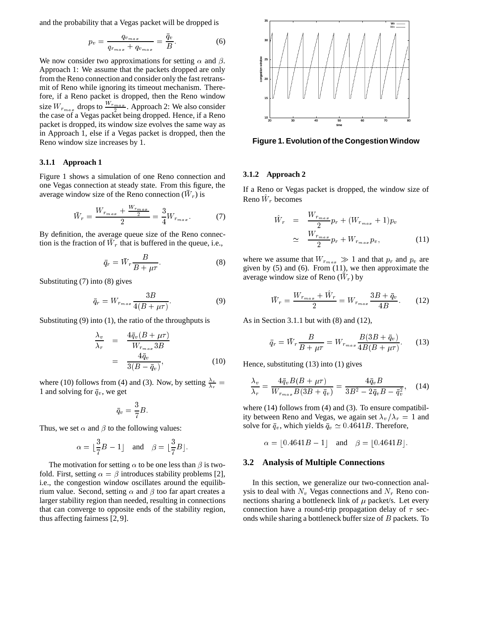and the probability that a Vegas packet will be dropped is

$$
p_v = \frac{q_{v_{max}}}{q_{r_{max}} + q_{v_{max}}} = \frac{\bar{q}_v}{B}.
$$
 (6)

We now consider two approximations for setting  $\alpha$  and  $\beta$ . Approach 1: We assume that the packets dropped are only from the Reno connection and consider only the fast retransmit of Reno while ignoring its timeout mechanism. Therefore, if a Reno packet is dropped, then the Reno window size  $W_{r_{max}}$  drops to  $\frac{W_{r_{max}}}{2}$ . Approach 2: We also consider <sup>2</sup> the case of a Vegas packet being dropped. Hence, if a Reno packet is dropped, its window size evolves the same way as in Approach 1, else if a Vegas packet is dropped, then the Reno window size increases by 1.

### **3.1.1 Approach 1**

Figure 1 shows a simulation of one Reno connection and one Vegas connection at steady state. From this figure, the average window size of the Reno connection  $(W_r)$  is

$$
\bar{W}_r = \frac{W_{r_{max}} + \frac{W_{r_{max}}}{2}}{2} = \frac{3}{4} W_{r_{max}}.
$$
 (7)

By definition, the average queue size of the Reno connection is the fraction of  $W_r$  that is buffered in the queue, i.e.,

$$
= \bar{W}_r \frac{B}{B + \mu \tau}.
$$
 (8)

Substituting (7) into (8) gives

 $\bar{q}_r$ 

$$
\bar{q}_r = W_{r_{max}} \frac{3B}{4(B + \mu \tau)}.
$$
\n(9)

Substituting (9) into (1), the ratio of the throughputs is

$$
\frac{\lambda_v}{\lambda_r} = \frac{4\bar{q}_v (B + \mu \tau)}{W_{r_{max}} 3B}
$$
\n
$$
= \frac{4\bar{q}_v}{3(B - \bar{q}_v)},
$$
\n(10)

where (10) follows from (4) and (3). Now, by setting  $\frac{\lambda_v}{\lambda_v}$  = 1 and solving for  $\bar{q}_v$ , we get

$$
\bar{q}_v = \frac{3}{7}B.
$$

Thus, we set  $\alpha$  and  $\beta$  to the following values:

$$
\alpha = \lfloor \frac{3}{7}B - 1 \rfloor \quad \text{and} \quad \beta = \lfloor \frac{3}{7}B \rfloor.
$$

The motivation for setting  $\alpha$  to be one less than  $\beta$  is twofold. First, setting  $\alpha = \beta$  introduces stability problems [2], i.e., the congestion window oscillates around the equilibrium value. Second, setting  $\alpha$  and  $\beta$  too far apart creates a larger stability region than needed, resulting in connections that can converge to opposite ends of the stability region, thus affecting fairness [2, 9].



**Figure 1. Evolution of the Congestion Window**

#### **3.1.2 Approach 2**

If a Reno or Vegas packet is dropped, the window size of Reno  $W_r$  becomes

$$
\hat{W}_r = \frac{W_{r_{max}}}{2} p_r + (W_{r_{max}} + 1) p_v
$$
\n
$$
\simeq \frac{W_{r_{max}}}{2} p_r + W_{r_{max}} p_v, \tag{11}
$$

where we assume that  $W_{r_{max}} \gg 1$  and that  $p_r$  and  $p_v$  are given by (5) and (6). From (11), we then approximate the average window size of Reno  $(W_r)$  by

$$
\bar{W}_r = \frac{W_{r_{max}} + \hat{W}_r}{2} = W_{r_{max}} \frac{3B + \bar{q}_v}{4B}.
$$
 (12)

As in Section 3.1.1 but with (8) and (12),

$$
\bar{q}_r = \bar{W}_r \frac{B}{B + \mu \tau} = W_{r_{max}} \frac{B(3B + \bar{q}_v)}{4B(B + \mu \tau)}.
$$
 (13)

Hence, substituting (13) into (1) gives

$$
\frac{\lambda_v}{\lambda_r} = \frac{4\bar{q}_v B(B + \mu\tau)}{W_{r_{max}} B(3B + \bar{q}_v)} = \frac{4\bar{q}_v B}{3B^2 - 2\bar{q}_v B - \bar{q}_v^2},\quad(14)
$$

where (14) follows from (4) and (3). To ensure compatibility between Reno and Vegas, we again set  $\lambda_v/\lambda_r=1$  and solve for  $\bar{q}_v$ , which yields  $\bar{q}_v \simeq 0.4641B$ . Therefore,

$$
\alpha = [0.4641B - 1]
$$
 and  $\beta = [0.4641B]$ .

### **3.2 Analysis of Multiple Connections**

In this section, we generalize our two-connection analysis to deal with  $N_v$  Vegas connections and  $N_r$  Reno connections sharing a bottleneck link of  $\mu$  packet/s. Let every connection have a round-trip propagation delay of  $\tau$  seconds while sharing a bottleneck buffer size of <sup>B</sup> packets. To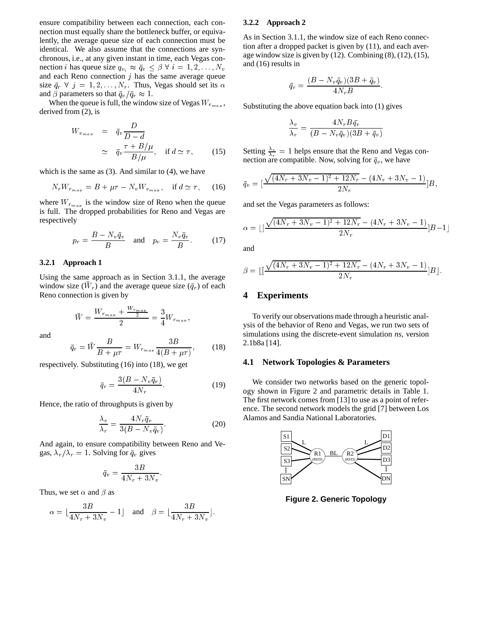ensure compatibility between each connection, each connection must equally share the bottleneck buffer, or equivalently, the average queue size of each connection must be identical. We also assume that the connections are synchronous, i.e., at any given instant in time, each Vegas connection *i* has queue size  $q_{v_i} \approx \bar{q}_v \leq \beta \ \forall \ i = 1, 2, \dots, N_v$ and each Reno connection  $j$  has the same average queue size  $\bar{q}_r \forall j = 1, 2, \ldots, N_r$ . Thus, Vegas should set its  $\alpha$ and  $\beta$  parameters so that  $\bar{q}_v / \bar{q}_r \approx 1$ .

When the queue is full, the window size of Vegas  $W_{v_{max}}$ , derived from (2), is

$$
W_{v_{max}} = \bar{q}_v \frac{D}{D - d}
$$
  
 
$$
\simeq \bar{q}_v \frac{\tau + B/\mu}{B/\mu}, \quad \text{if } d \simeq \tau,
$$
 (15)

which is the same as  $(3)$ . And similar to  $(4)$ , we have

$$
N_r W_{r_{max}} = B + \mu \tau - N_v W_{v_{max}}, \quad \text{if } d \simeq \tau,
$$
 (16)

where  $W_{r_{max}}$  is the window size of Reno when the queue is full. The dropped probabilities for Reno and Vegas are respectively

$$
p_r = \frac{B - N_v \bar{q}_v}{B} \quad \text{and} \quad p_v = \frac{N_v \bar{q}_v}{B}.
$$
 (17)

### **3.2.1 Approach 1**

Using the same approach as in Section 3.1.1, the average window size  $(W_r)$  and the average queue size  $(\bar{q}_r)$  of each Reno connection is given by

$$
\bar{W} = \frac{W_{r_{max}} + \frac{W_{r_{max}}}{2}}{2} = \frac{3}{4} W_{r_{max}},
$$

and

$$
\bar{q}_r = \bar{W} \frac{B}{B + \mu \tau} = W_{r_{max}} \frac{3B}{4(B + \mu \tau)},\tag{18}
$$

respectively. Substituting (16) into (18), we get

$$
\bar{q}_r = \frac{3(B - N_v \bar{q}_v)}{4N_r}.\tag{19}
$$

Hence, the ratio of throughputs is given by

$$
\frac{\lambda_v}{\lambda_r} = \frac{4N_r\bar{q}_v}{3(B - N_v\bar{q}_v)}.\tag{20}
$$

And again, to ensure compatibility between Reno and Vegas,  $\lambda_v/\lambda_r = 1$ . Solving for  $\bar{q}_v$  gives

$$
\bar{q}_v = \frac{3B}{4N_r + 3N_v}.
$$

Thus, we set  $\alpha$  and  $\beta$  as

$$
\alpha = \lfloor \frac{3B}{4N_r+3N_v} - 1 \rfloor \quad \text{and} \quad \beta = \lfloor \frac{3B}{4N_r+3N_v} \rfloor.
$$

### **3.2.2 Approach 2**

As in Section 3.1.1, the window size of each Reno connection after a dropped packet is given by (11), and each average window size is given by  $(12)$ . Combining  $(8)$ ,  $(12)$ ,  $(15)$ , and (16) results in

$$
\bar{q}_r = \frac{(B - N_v \bar{q}_v)(3B + \bar{q}_v)}{4N_rB}
$$

:

Substituting the above equation back into (1) gives

$$
\frac{\lambda_v}{\lambda_r} = \frac{4N_rB\bar{q_v}}{(B-N_v\bar{q}_v)(3B+\bar{q}_v)}
$$

Setting  $\frac{\lambda_v}{\lambda_v} = 1$  helps ensure that the Reno and Vegas connection are compatible. Now, solving for  $\bar{q}_v$ , we have

$$
\bar{q}_v = \left[\frac{\sqrt{(4N_r + 3N_v - 1)^2 + 12N_r} - (4N_r + 3N_v - 1)}{2N_r}\right]B,
$$

and set the Vegas parameters as follows:

$$
\alpha = \lfloor \left[ \frac{\sqrt{(4N_r + 3N_v - 1)^2 + 12N_r} - (4N_r + 3N_v - 1)}{2N_r} \right] B - 1 \rfloor
$$

and

$$
\beta = \left[ \left( \frac{\sqrt{(4N_r + 3N_v - 1)^2 + 12N_r} - (4N_r + 3N_v - 1)}{2N_r} \right] B \right].
$$

### **4 Experiments**

To verify our observations made through a heuristic analysis of the behavior of Reno and Vegas, we run two sets of simulations using the discrete-event simulation *ns*, version 2.1b8a [14].

### **4.1 Network Topologies & Parameters**

We consider two networks based on the generic topology shown in Figure 2 and parametric details in Table 1. The first network comes from [13] to use as a point of reference. The second network models the grid [7] between Los Alamos and Sandia National Laboratories.



**Figure 2. Generic Topology**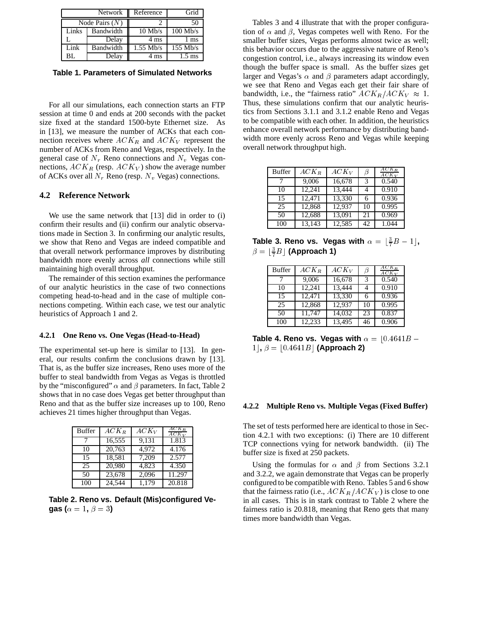|       | <b>Network</b>   | Reference   | Grid                  |
|-------|------------------|-------------|-----------------------|
|       | Node Pairs $(N)$ |             | 50                    |
| Links | Bandwidth        | $10$ Mb/s   | $100$ Mb/s            |
|       | Delay            | 4 ms        | ms                    |
| Link  | Bandwidth        | $1.55$ Mb/s | $\overline{155}$ Mb/s |
| BL.   | Delay            | 4 ms        | $1.5 \text{ ms}$      |

**Table 1. Parameters of Simulated Networks**

For all our simulations, each connection starts an FTP session at time 0 and ends at 200 seconds with the packet size fixed at the standard 1500-byte Ethernet size. As in [13], we measure the number of ACKs that each connection receives where  $ACK_R$  and  $ACK_V$  represent the number of ACKs from Reno and Vegas, respectively. In the general case of  $N_r$  Reno connections and  $N_v$  Vegas connections,  $ACK_R$  (resp.  $ACK_V$ ) show the average number of ACKs over all  $N_r$  Reno (resp.  $N_v$  Vegas) connections.

### **4.2 Reference Network**

We use the same network that [13] did in order to (i) confirm their results and (ii) confirm our analytic observations made in Section 3. In confirming our analytic results, we show that Reno and Vegas are indeed compatible and that overall network performance improves by distributing bandwidth more evenly across *all* connections while still maintaining high overall throughput.

The remainder of this section examines the performance of our analytic heuristics in the case of two connections competing head-to-head and in the case of multiple connections competing. Within each case, we test our analytic heuristics of Approach 1 and 2.

#### **4.2.1 One Reno vs. One Vegas (Head-to-Head)**

The experimental set-up here is similar to [13]. In general, our results confirm the conclusions drawn by [13]. That is, as the buffer size increases, Reno uses more of the buffer to steal bandwidth from Vegas as Vegas is throttled by the "misconfigured"  $\alpha$  and  $\beta$  parameters. In fact, Table 2 shows that in no case does Vegas get better throughput than Reno and that as the buffer size increases up to 100, Reno achieves 21 times higher throughput than Vegas.

| <b>Buffer</b> | $ACK_B$ | $ACK_V$ | $ACK_{B}$<br>$ACK_V$ |
|---------------|---------|---------|----------------------|
|               | 16,555  | 9,131   | 1.813                |
| 10            | 20,763  | 4.972   | 4.176                |
| 15            | 18,581  | 7,209   | 2.577                |
| 25            | 20,980  | 4.823   | 4.350                |
| 50            | 23,678  | 2,096   | 11.297               |
| 100           | 24.544  | 1.179   | 20.818               |

**Table 2. Reno vs. Default (Mis)configured Vegas (** $\alpha = 1, \beta = 3$ )

Tables 3 and 4 illustrate that with the proper configuration of  $\alpha$  and  $\beta$ , Vegas competes well with Reno. For the smaller buffer sizes, Vegas performs almost twice as well; this behavior occurs due to the aggressive nature of Reno's congestion control, i.e., always increasing its window even though the buffer space is small. As the buffer sizes get larger and Vegas's  $\alpha$  and  $\beta$  parameters adapt accordingly, we see that Reno and Vegas each get their fair share of bandwidth, i.e., the "fairness ratio"  $ACK_R/ACK_V \approx 1$ . Thus, these simulations confirm that our analytic heuristics from Sections 3.1.1 and 3.1.2 enable Reno and Vegas to be compatible with each other. In addition, the heuristics enhance overall network performance by distributing bandwidth more evenly across Reno and Vegas while keeping overall network throughput high.

| <b>Buffer</b> | $ACK_B$ | $ACK_V$ | ß  | $ACK_{R}$<br>$ACK_V$ |
|---------------|---------|---------|----|----------------------|
|               | 9,006   | 16,678  |    | 0.540                |
| 10            | 12,241  | 13,444  |    | 0.910                |
| 15            | 12,471  | 13,330  | 6  | 0.936                |
| 25            | 12,868  | 12,937  | 10 | 0.995                |
| 50            | 12,688  | 13,091  | 21 | 0.969                |
| 100           | 13,143  | 12,585  | 42 | 1.044                |

Table 3. Reno vs. Vegas with  $\alpha = \lfloor \frac{3}{7}B - 1 \rfloor$ ,  $\beta = \lfloor \frac{3}{7} B \rfloor$  (Approach 1)

| <b>Buffer</b> | $ACK_R$ | $ACK_V$ | B  | $ACK_R$<br>$ACK_V$ |
|---------------|---------|---------|----|--------------------|
|               | 9,006   | 16,678  | 3  | 0.540              |
| 10            | 12,241  | 13,444  |    | 0.910              |
| 15            | 12,471  | 13,330  | 6  | 0.936              |
| 25            | 12,868  | 12,937  | 10 | 0.995              |
| 50            | 11,747  | 14,032  | 23 | 0.837              |
| 100           | 12,233  | 13,495  | 46 | 0.906              |

**Table 4. Reno vs. Vegas with**  $\alpha = |0.4641B 1, \beta = |0.4641B|$  (Approach 2)

#### **4.2.2 Multiple Reno vs. Multiple Vegas (Fixed Buffer)**

The set of tests performed here are identical to those in Section 4.2.1 with two exceptions: (i) There are 10 different TCP connections vying for network bandwidth. (ii) The buffer size is fixed at 250 packets.

Using the formulas for  $\alpha$  and  $\beta$  from Sections 3.2.1 and 3.2.2, we again demonstrate that Vegas can be properly configured to be compatible with Reno. Tables 5 and 6 show that the fairness ratio (i.e.,  $ACK_R/ACK_V$ ) is close to one in all cases. This is in stark contrast to Table 2 where the fairness ratio is 20.818, meaning that Reno gets that many times more bandwidth than Vegas.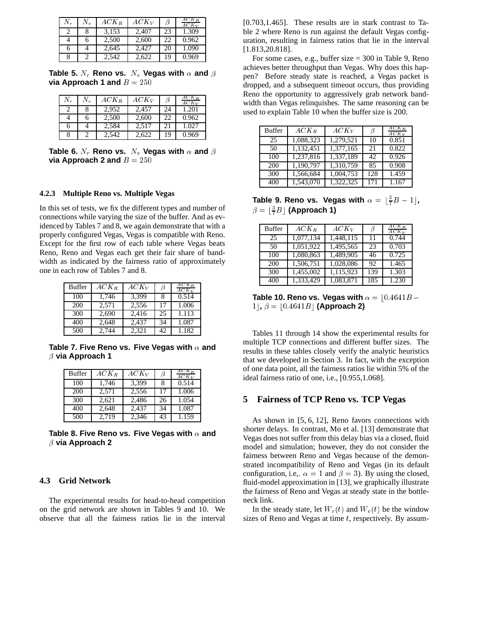| $N_{r}$ | Ν. | $ACK_B$ | $ACK_V$ | B  | $ACK_R$<br>$ACK_V$ |
|---------|----|---------|---------|----|--------------------|
|         | 8  | 3,153   | 2.407   | 23 | 1.309              |
|         | 6  | 2,500   | 2.600   | 22 | 0.962              |
| h       |    | 2,645   | 2,427   | 20 | 1.090              |
|         |    | 2,542   | 2.622   | 19 | 0.969              |

Table 5.  $N_r$  Reno vs.  $N_v$  Vegas with  $\alpha$  and  $\beta$ **via Approach 1 and**  $B = 250$ 

| $N_r$ | $N_{\it v}$ | $ACK_R$ | $ACK_V$ | Β  | $ACK_B$<br>$ACK_V$ |
|-------|-------------|---------|---------|----|--------------------|
|       |             | 2,952   | 2,457   | 24 | 1.201              |
|       |             | 2.500   | 2.600   | 22 | 0.962              |
| 6     |             | 2,584   | 2,517   | 21 | 1.027              |
| 8     |             | 2.542   | 2,622   | 19 | 0.969              |

**Table 6.**  $N_r$  **Reno vs.**  $N_v$  **Vegas with**  $\alpha$  and  $\beta$ **via Approach 2 and**  $B = 250$ 

### **4.2.3 Multiple Reno vs. Multiple Vegas**

In this set of tests, we fix the different types and number of connections while varying the size of the buffer. And as evidenced by Tables 7 and 8, we again demonstrate that with a properly configured Vegas, Vegas is compatible with Reno. Except for the first row of each table where Vegas beats Reno, Reno and Vegas each get their fair share of bandwidth as indicated by the fairness ratio of approximately one in each row of Tables 7 and 8.

| <b>Buffer</b> | $ACK_R$ | $ACK_V$ | Β  | $ACK_R$<br>$ACK_V$ |
|---------------|---------|---------|----|--------------------|
| 100           | 1,746   | 3.399   | 8  | 0.514              |
| 200           | 2,571   | 2,556   | 17 | 1.006              |
| 300           | 2,690   | 2,416   | 25 | 1.113              |
| 400           | 2,648   | 2,437   | 34 | 1.087              |
| 500           | 2.744   | 2,321   | 42 | 1.182              |

**Table 7. Five Reno vs. Five Vegas with and via Approach 1**

| <b>Buffer</b> | $ACK_{B}$ | $ACK_V$ | B  | AC K<br>$ACK_V$ |
|---------------|-----------|---------|----|-----------------|
| 100           | 1.746     | 3.399   | 8  | 0.514           |
| 200           | 2.571     | 2,556   | 17 | 1.006           |
| 300           | 2.621     | 2,486   | 26 | 1.054           |
| 400           | 2.648     | 2.437   | 34 | 1.087           |
| 500           | 2.719     | 2,346   | 43 | 1.159           |

Table 8. Five Reno vs. Five Vegas with  $\alpha$  and **via Approach 2**

# **4.3 Grid Network**

The experimental results for head-to-head competition on the grid network are shown in Tables 9 and 10. We observe that all the fairness ratios lie in the interval

[0.703,1.465]. These results are in stark contrast to Table 2 where Reno is run against the default Vegas configuration, resulting in fairness ratios that lie in the interval [1.813,20.818].

For some cases, e.g., buffer size = 300 in Table 9, Reno achieves better throughput than Vegas. Why does this happen? Before steady state is reached, a Vegas packet is dropped, and a subsequent timeout occurs, thus providing Reno the opportunity to aggressively grab network bandwidth than Vegas relinquishes. The same reasoning can be used to explain Table 10 when the buffer size is 200.

| <b>Buffer</b> | $ACK_R$   | $ACK_V$   | B   | $ACK_R$<br>$ACK_V$ |
|---------------|-----------|-----------|-----|--------------------|
| 25            | 1,088,323 | 1,279,521 | 10  | 0.851              |
| 50            | 1,132,451 | 1,377,165 | 21  | 0.822              |
| 100           | 1,237,816 | 1,337,189 | 42  | 0.926              |
| 200           | 1,190,797 | 1,310,759 | 85  | 0.908              |
| 300           | 1,566,684 | 1,004,753 | 128 | 1.459              |
| 400           | 1,543,070 | 1,322,325 | 171 | 1.167              |

Table 9. Reno vs. Vegas with  $\alpha = \lfloor \frac{3}{7}B - 1 \rfloor$ ,  $\beta = \lfloor \frac{3}{7} B \rfloor$  (Approach 1)

| <b>Buffer</b> | $ACK_B$   | $ACK_V$   | ß   | $ACK_{B}$<br>$ACK_V$ |
|---------------|-----------|-----------|-----|----------------------|
| 25            | 1,077,134 | 1,448,115 | 11  | 0.744                |
| 50            | 1,051,922 | 1,495,565 | 23  | 0.703                |
| 100           | 1,080,863 | 1,489,905 | 46  | 0.725                |
| 200           | 1,506,751 | 1,028,086 | 92  | 1.465                |
| 300           | 1,455,002 | 1,115,923 | 139 | 1.303                |
| 400           | 1.333.429 | 1.083.871 | 185 | 1.230                |

**Table 10. Reno vs. Vegas with**  $\alpha = 0.4641B 1, \beta = |0.4641B|$  (Approach 2)

Tables 11 through 14 show the experimental results for multiple TCP connections and different buffer sizes. The results in these tables closely verify the analytic heuristics that we developed in Section 3. In fact, with the exception of one data point, all the fairness ratios lie within 5% of the ideal fairness ratio of one, i.e., [0.955,1.068].

# **5 Fairness of TCP Reno vs. TCP Vegas**

As shown in [5, 6, 12], Reno favors connections with shorter delays. In contrast, Mo et al. [13] demonstrate that Vegas does not suffer from this delay bias via a closed, fluid model and simulation; however, they do not consider the fairness between Reno and Vegas because of the demonstrated incompatibility of Reno and Vegas (in its default configuration, i.e.,  $\alpha = 1$  and  $\beta = 3$ ). By using the closed, fluid-model approximation in [13], we graphically illustrate the fairness of Reno and Vegas at steady state in the bottleneck link.

In the steady state, let  $W_r(t)$  and  $W_r(t)$  be the window sizes of Reno and Vegas at time  $t$ , respectively. By assum-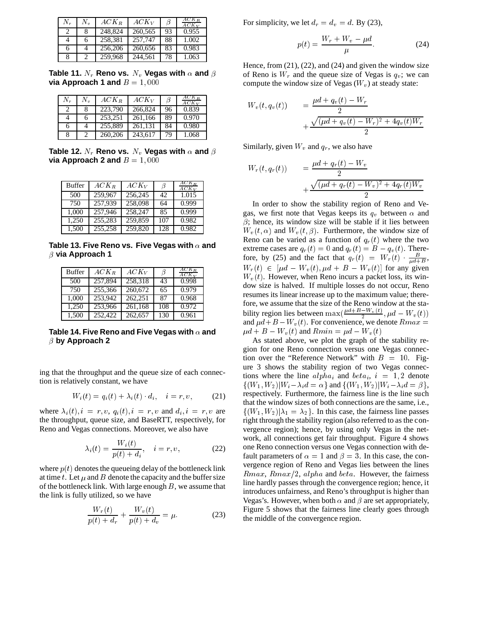| N. | $N_{\rm m}$ | $ACK_R$ | $ACK_V$ | B  | $ACK_{B}$<br>$ACK_V$ |
|----|-------------|---------|---------|----|----------------------|
| 2  | 8           | 248,824 | 260,565 | 93 | 0.955                |
|    | 6           | 258.381 | 257.747 | 88 | 1.002                |
| 6  |             | 256,206 | 260,656 | 83 | 0.983                |
| 8  | 2           | 259.968 | 244.561 | 78 | 1.063                |

Table 11.  $N_r$  Reno vs.  $N_v$  Vegas with  $\alpha$  and  $\beta$ **via Approach 1 and**  $B = 1,000$ 

| $N_{r}$ | $N_{v}$ | $ACK_R$ | $ACK_V$ | B  | $ACK_B$<br>$ACK_V$ |
|---------|---------|---------|---------|----|--------------------|
| 2       | 8       | 223,790 | 266,824 | 96 | 0.839              |
| 4       | 6       | 253.251 | 261.166 | 89 | 0.970              |
| 6       |         | 255,889 | 261,131 | 84 | 0.980              |
| 8       |         | 260,206 | 243,617 | 79 | 1.068              |

Table 12.  $N_r$  Reno vs.  $N_v$  Vegas with  $\alpha$  and  $\beta$ **via Approach 2 and**  $B = 1,000$ 

| <b>Buffer</b> | $ACK_B$ | $ACK_V$ | ß   | $\overline{ACK_B}$<br>$ACK_V$ |
|---------------|---------|---------|-----|-------------------------------|
| 500           | 259,967 | 256.245 | 42  | 1.015                         |
| 750           | 257.939 | 258,098 | 64  | 0.999                         |
| 1,000         | 257,946 | 258,247 | 85  | 0.999                         |
| 1.250         | 255,283 | 259.859 | 107 | 0.982                         |
| 1.500         | 255,258 | 259,820 | 128 | 0.982                         |

**Table 13. Five Reno vs. Five Vegas with and**  $\beta$  via Approach 1

| Buffer | $ACK_R$ | $ACK_V$ | ß   | $ACK_B$<br>$ACK_V$ |
|--------|---------|---------|-----|--------------------|
| 500    | 257.894 | 258.318 | 43  | 0.998              |
| 750    | 255,366 | 260,672 | 65  | 0.979              |
| 1,000  | 253,942 | 262,251 | 87  | 0.968              |
| 1.250  | 253,966 | 261,168 | 108 | 0.972              |
| 1.500  | 252,422 | 262,657 | 130 | 0.961              |

**Table 14. Five Reno and Five Vegas with and by Approach 2**

ing that the throughput and the queue size of each connection is relatively constant, we have

$$
W_i(t) = q_i(t) + \lambda_i(t) \cdot d_i, \quad i = r, v,
$$
 (21)

where  $\lambda_i(t), i = r, v, q_i(t), i = r, v$  and  $d_i, i = r, v$  are the throughput, queue size, and BaseRTT, respectively, for Reno and Vegas connections. Moreover, we also have

$$
\lambda_i(t) = \frac{W_i(t)}{p(t) + d_i}, \quad i = r, v,
$$
\n(22)

where  $p(t)$  denotes the queueing delay of the bottleneck link at time t. Let  $\mu$  and  $B$  denote the capacity and the buffer size of the bottleneck link. With large enough  $B$ , we assume that the link is fully utilized, so we have

$$
\frac{W_r(t)}{p(t) + d_r} + \frac{W_v(t)}{p(t) + d_v} = \mu.
$$
 (23)

For simplicity, we let  $d_r = d_v = d$ . By (23),

$$
p(t) = \frac{W_r + W_v - \mu d}{\mu}.\tag{24}
$$

Hence, from  $(21)$ ,  $(22)$ , and  $(24)$  and given the window size of Reno is  $W_r$  and the queue size of Vegas is  $q_v$ ; we can compute the window size of Vegas  $(W<sub>v</sub>)$  at steady state:

$$
W_v(t, q_v(t)) = \frac{\mu d + q_v(t) - W_r}{2} + \frac{\sqrt{(\mu d + q_v(t) - W_r)^2 + 4q_v(t)W_r}}{2}
$$

Similarly, given  $W_v$  and  $q_r$ , we also have

$$
W_r(t, q_r(t)) = \frac{\mu d + q_r(t) - W_v}{2} + \frac{\sqrt{(\mu d + q_r(t) - W_v)^2 + 4q_r(t)W_v}}{2}
$$

In order to show the stability region of Reno and Vegas, we first note that Vegas keeps its  $q_v$  between  $\alpha$  and  $\beta$ ; hence, its window size will be stable if it lies between  $W_{v}(t, \alpha)$  and  $W_{v}(t, \beta)$ . Furthermore, the window size of Reno can be varied as a function of  $q_r(t)$  where the two extreme cases are  $q_r(t) = 0$  and  $q_r(t) = B - q_v(t)$ . Therefore, by (25) and the fact that  $q_r(t) = W_r(t) \cdot \frac{B}{\mu d + B}$ ,  $W_r(t) \in [\mu d - W_v(t), \mu d + B - W_v(t)]$  for any given  $W<sub>v</sub>(t)$ . However, when Reno incurs a packet loss, its window size is halved. If multiple losses do not occur, Reno resumes its linear increase up to the maximum value; therefore, we assume that the size of the Reno window at the stability region lies between  $\max(\frac{\mu a + B - W_v(t)}{2}, \mu d - W_v(t))$ and  $\mu d + B - W_v(t)$ . For convenience, we denote  $Rmax =$  $\mu d + B - W_v(t)$  and  $Rmin = \mu d - W_v(t)$ 

As stated above, we plot the graph of the stability region for one Reno connection versus one Vegas connection over the "Reference Network" with  $B = 10$ . Figure 3 shows the stability region of two Vegas connections where the line  $\alpha l_{i}$  and  $\beta l_{i}$ ,  $i = 1, 2$  denote  $\{(W_1, W_2)|W_i - \lambda_i d = \alpha\}$  and  $\{(W_1, W_2)|W_i - \lambda_i d = \beta\},$ respectively. Furthermore, the fairness line is the line such that the window sizes of both connections are the same, i.e.,  $\{(W_1, W_2)|\lambda_1 = \lambda_2\}$ . In this case, the fairness line passes right through the stability region (also referred to as the convergence region); hence, by using only Vegas in the network, all connections get fair throughput. Figure 4 shows one Reno connection versus one Vegas connection with default parameters of  $\alpha = 1$  and  $\beta = 3$ . In this case, the convergence region of Reno and Vegas lies between the lines  $Rmax$ ,  $Rmax/2$ , alpha and beta. However, the fairness line hardly passes through the convergence region; hence, it introduces unfairness, and Reno's throughput is higher than Vegas's. However, when both  $\alpha$  and  $\beta$  are set appropriately, Figure 5 shows that the fairness line clearly goes through the middle of the convergence region.